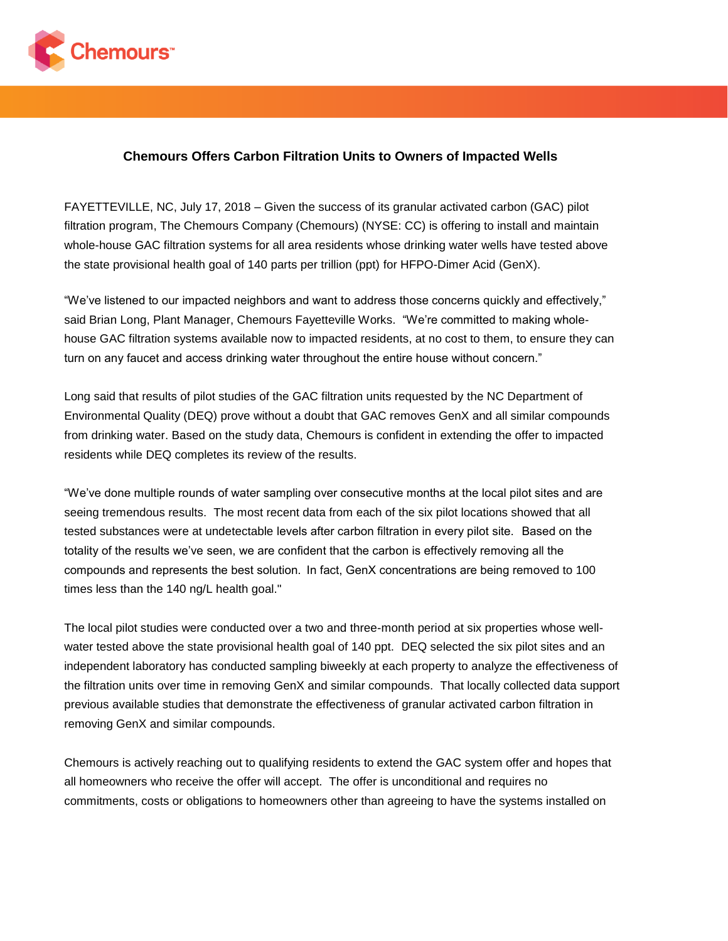

## **Chemours Offers Carbon Filtration Units to Owners of Impacted Wells**

FAYETTEVILLE, NC, July 17, 2018 – Given the success of its granular activated carbon (GAC) pilot filtration program, The Chemours Company (Chemours) (NYSE: CC) is offering to install and maintain whole-house GAC filtration systems for all area residents whose drinking water wells have tested above the state provisional health goal of 140 parts per trillion (ppt) for HFPO-Dimer Acid (GenX).

"We've listened to our impacted neighbors and want to address those concerns quickly and effectively," said Brian Long, Plant Manager, Chemours Fayetteville Works. "We're committed to making wholehouse GAC filtration systems available now to impacted residents, at no cost to them, to ensure they can turn on any faucet and access drinking water throughout the entire house without concern."

Long said that results of pilot studies of the GAC filtration units requested by the NC Department of Environmental Quality (DEQ) prove without a doubt that GAC removes GenX and all similar compounds from drinking water. Based on the study data, Chemours is confident in extending the offer to impacted residents while DEQ completes its review of the results.

"We've done multiple rounds of water sampling over consecutive months at the local pilot sites and are seeing tremendous results. The most recent data from each of the six pilot locations showed that all tested substances were at undetectable levels after carbon filtration in every pilot site.   Based on the totality of the results we've seen, we are confident that the carbon is effectively removing all the compounds and represents the best solution.  In fact, GenX concentrations are being removed to 100 times less than the 140 ng/L health goal."

The local pilot studies were conducted over a two and three-month period at six properties whose wellwater tested above the state provisional health goal of 140 ppt. DEQ selected the six pilot sites and an independent laboratory has conducted sampling biweekly at each property to analyze the effectiveness of the filtration units over time in removing GenX and similar compounds. That locally collected data support previous available studies that demonstrate the effectiveness of granular activated carbon filtration in removing GenX and similar compounds.

Chemours is actively reaching out to qualifying residents to extend the GAC system offer and hopes that all homeowners who receive the offer will accept. The offer is unconditional and requires no commitments, costs or obligations to homeowners other than agreeing to have the systems installed on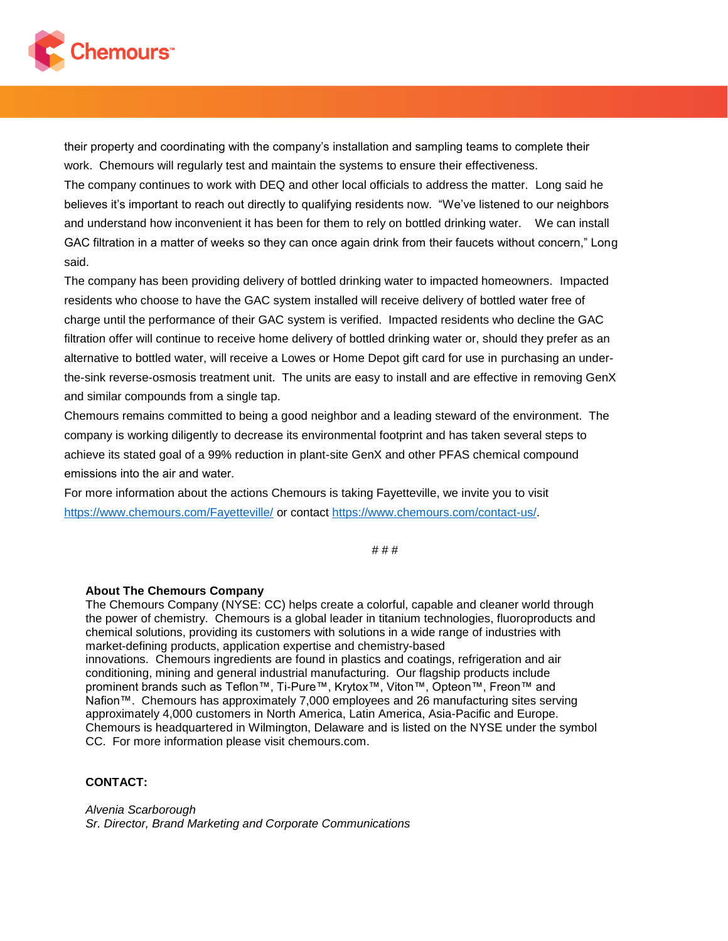

their property and coordinating with the company's installation and sampling teams to complete their work. Chemours will regularly test and maintain the systems to ensure their effectiveness.

The company continues to work with DEQ and other local officials to address the matter. Long said he believes it's important to reach out directly to qualifying residents now. "We've listened to our neighbors and understand how inconvenient it has been for them to rely on bottled drinking water. We can install GAC filtration in a matter of weeks so they can once again drink from their faucets without concern," Long said.

The company has been providing delivery of bottled drinking water to impacted homeowners. Impacted residents who choose to have the GAC system installed will receive delivery of bottled water free of charge until the performance of their GAC system is verified. Impacted residents who decline the GAC filtration offer will continue to receive home delivery of bottled drinking water or, should they prefer as an alternative to bottled water, will receive a Lowes or Home Depot gift card for use in purchasing an underthe-sink reverse-osmosis treatment unit. The units are easy to install and are effective in removing GenX and similar compounds from a single tap.

Chemours remains committed to being a good neighbor and a leading steward of the environment. The company is working diligently to decrease its environmental footprint and has taken several steps to achieve its stated goal of a 99% reduction in plant-site GenX and other PFAS chemical compound emissions into the air and water. 

For more information about the actions Chemours is taking Fayetteville, we invite you to visit [https://www.chemours.com/Fayetteville/](https://na01.safelinks.protection.outlook.com/?url=https%3A%2F%2Fwww.chemours.com%2FFayetteville%2F&data=02%7C01%7CCynthia.Salitsky%40chemours.com%7Cb9dd1718eef840019f7c08d5b1665242%7C68a7ff20812f473890ea0b1051846f74%7C0%7C0%7C636609975380635369&sdata=E1YIEsgKVorYCX9fSufytWD2EoIG2M61RpXrVkw3UJo%3D&reserved=0) or contact [https://www.chemours.com/contact-us/.](https://na01.safelinks.protection.outlook.com/?url=https%3A%2F%2Fwww.chemours.com%2Fcontact-us%2F&data=02%7C01%7CCynthia.Salitsky%40chemours.com%7Cb9dd1718eef840019f7c08d5b1665242%7C68a7ff20812f473890ea0b1051846f74%7C0%7C0%7C636609975380635369&sdata=y1k8wz875RKcM2k9tYq8kRY50WMMGbtcLbCWQy62iqs%3D&reserved=0)

# # #

## **About The Chemours Company**

The Chemours Company (NYSE: CC) helps create a colorful, capable and cleaner world through the power of chemistry. Chemours is a global leader in titanium technologies, fluoroproducts and chemical solutions, providing its customers with solutions in a wide range of industries with market-defining products, application expertise and chemistry-based innovations. Chemours ingredients are found in plastics and coatings, refrigeration and air conditioning, mining and general industrial manufacturing. Our flagship products include

prominent brands such as Teflon™, Ti-Pure™, Krytox™, Viton™, Opteon™, Freon™ and Nafion™. Chemours has approximately 7,000 employees and 26 manufacturing sites serving approximately 4,000 customers in North America, Latin America, Asia-Pacific and Europe. Chemours is headquartered in Wilmington, Delaware and is listed on the NYSE under the symbol CC. For more information please visit chemours.com.

## **CONTACT:**

*Alvenia Scarborough Sr. Director, Brand Marketing and Corporate Communications*